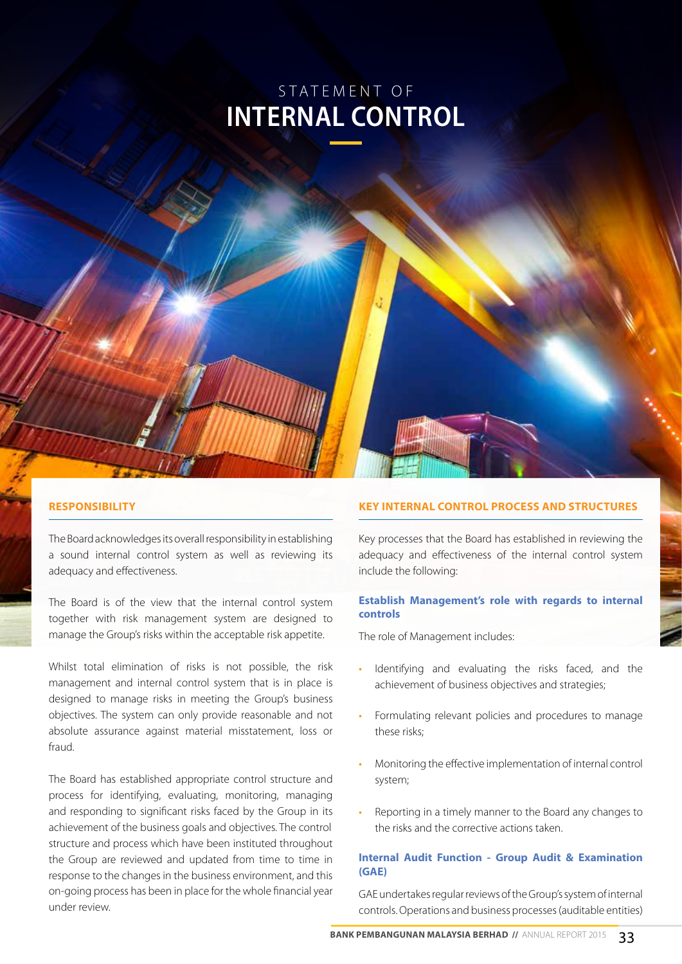# S TATEMENT OF **INTERNAL CONTROL**

## **Responsibility**

The Board acknowledges its overall responsibility in establishing a sound internal control system as well as reviewing its adequacy and effectiveness.

The Board is of the view that the internal control system together with risk management system are designed to manage the Group's risks within the acceptable risk appetite.

Whilst total elimination of risks is not possible, the risk management and internal control system that is in place is designed to manage risks in meeting the Group's business objectives. The system can only provide reasonable and not absolute assurance against material misstatement, loss or fraud.

The Board has established appropriate control structure and process for identifying, evaluating, monitoring, managing and responding to significant risks faced by the Group in its achievement of the business goals and objectives. The control structure and process which have been instituted throughout the Group are reviewed and updated from time to time in response to the changes in the business environment, and this on-going process has been in place for the whole financial year under review.

# **Key Internal Control Process and Structures**

Key processes that the Board has established in reviewing the adequacy and effectiveness of the internal control system include the following:

## **Establish Management's role with regards to internal controls**

The role of Management includes:

- Identifying and evaluating the risks faced, and the achievement of business objectives and strategies;
- Formulating relevant policies and procedures to manage these risks;
- Monitoring the effective implementation of internal control system;
- Reporting in a timely manner to the Board any changes to the risks and the corrective actions taken.

# **Internal Audit Function - Group Audit & Examination (GAE)**

GAE undertakes regular reviews of the Group's system of internal controls. Operations and business processes (auditable entities)